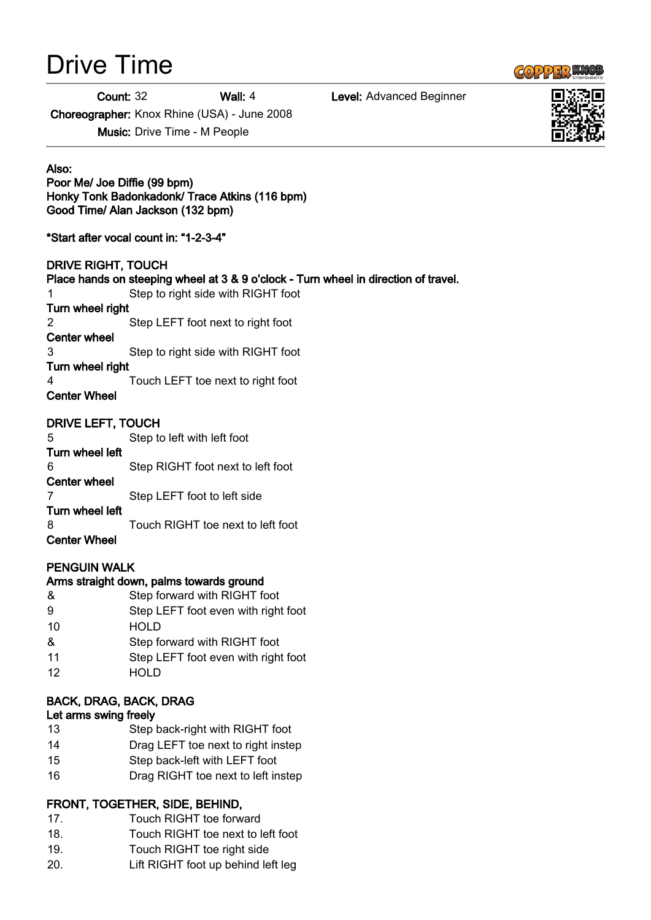# Drive Time

Count: 32 Wall: 4 Level: Advanced Beginner

Choreographer: Knox Rhine (USA) - June 2008

Music: Drive Time - M People

Also:

# Poor Me/ Joe Diffie (99 bpm) Honky Tonk Badonkadonk/ Trace Atkins (116 bpm) Good Time/ Alan Jackson (132 bpm)

\*Start after vocal count in: "1-2-3-4"

# DRIVE RIGHT, TOUCH

# Place hands on steeping wheel at 3 & 9 o'clock - Turn wheel in direction of travel.

1 Step to right side with RIGHT foot

## Turn wheel right

2 Step LEFT foot next to right foot

Center wheel 3 Step to right side with RIGHT foot

## Turn wheel right

4 Touch LEFT toe next to right foot

# Center Wheel

# DRIVE LEFT, TOUCH

5 Step to left with left foot Turn wheel left 6 Step RIGHT foot next to left foot Center wheel 7 Step LEFT foot to left side Turn wheel left 8 Touch RIGHT toe next to left foot Center Wheel

# PENGUIN WALK

# Arms straight down, palms towards ground

& Step forward with RIGHT foot 9 Step LEFT foot even with right foot 10 HOLD & Step forward with RIGHT foot 11 Step LEFT foot even with right foot 12 HOLD

# BACK, DRAG, BACK, DRAG

# Let arms swing freely

- 13 Step back-right with RIGHT foot
- 14 Drag LEFT toe next to right instep
- 15 Step back-left with LEFT foot
- 16 Drag RIGHT toe next to left instep

# FRONT, TOGETHER, SIDE, BEHIND,

- 17. Touch RIGHT toe forward
- 18. Touch RIGHT toe next to left foot
- 19. Touch RIGHT toe right side
- 20. Lift RIGHT foot up behind left leg